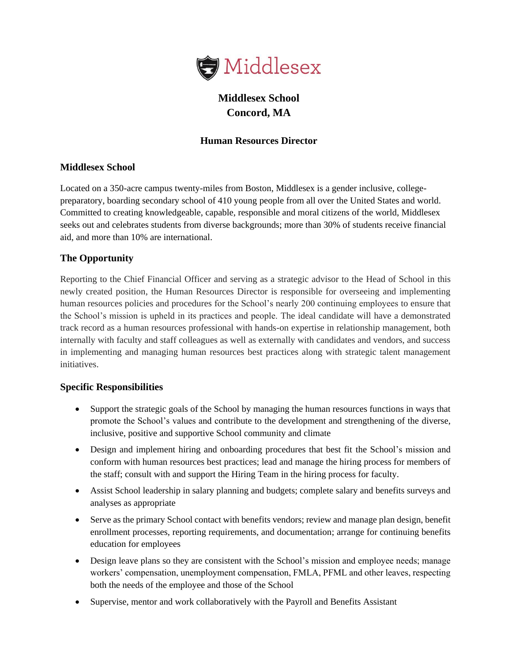

# **Middlesex School Concord, MA**

### **Human Resources Director**

#### **Middlesex School**

Located on a 350-acre campus twenty-miles from Boston, Middlesex is a gender inclusive, collegepreparatory, boarding secondary school of 410 young people from all over the United States and world. Committed to creating knowledgeable, capable, responsible and moral citizens of the world, Middlesex seeks out and celebrates students from diverse backgrounds; more than 30% of students receive financial aid, and more than 10% are international.

#### **The Opportunity**

Reporting to the Chief Financial Officer and serving as a strategic advisor to the Head of School in this newly created position, the Human Resources Director is responsible for overseeing and implementing human resources policies and procedures for the School's nearly 200 continuing employees to ensure that the School's mission is upheld in its practices and people. The ideal candidate will have a demonstrated track record as a human resources professional with hands-on expertise in relationship management, both internally with faculty and staff colleagues as well as externally with candidates and vendors, and success in implementing and managing human resources best practices along with strategic talent management initiatives.

#### **Specific Responsibilities**

- Support the strategic goals of the School by managing the human resources functions in ways that promote the School's values and contribute to the development and strengthening of the diverse, inclusive, positive and supportive School community and climate
- Design and implement hiring and onboarding procedures that best fit the School's mission and conform with human resources best practices; lead and manage the hiring process for members of the staff; consult with and support the Hiring Team in the hiring process for faculty.
- Assist School leadership in salary planning and budgets; complete salary and benefits surveys and analyses as appropriate
- Serve as the primary School contact with benefits vendors; review and manage plan design, benefit enrollment processes, reporting requirements, and documentation; arrange for continuing benefits education for employees
- Design leave plans so they are consistent with the School's mission and employee needs; manage workers' compensation, unemployment compensation, FMLA, PFML and other leaves, respecting both the needs of the employee and those of the School
- Supervise, mentor and work collaboratively with the Payroll and Benefits Assistant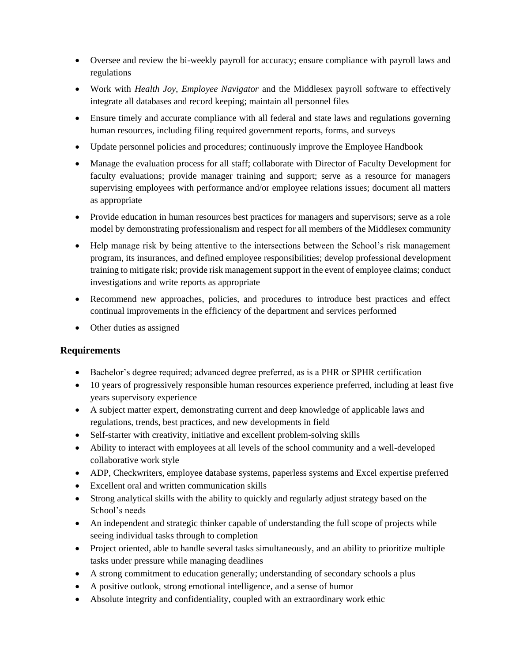- Oversee and review the bi-weekly payroll for accuracy; ensure compliance with payroll laws and regulations
- Work with *Health Joy*, *Employee Navigator* and the Middlesex payroll software to effectively integrate all databases and record keeping; maintain all personnel files
- Ensure timely and accurate compliance with all federal and state laws and regulations governing human resources, including filing required government reports, forms, and surveys
- Update personnel policies and procedures; continuously improve the Employee Handbook
- Manage the evaluation process for all staff; collaborate with Director of Faculty Development for faculty evaluations; provide manager training and support; serve as a resource for managers supervising employees with performance and/or employee relations issues; document all matters as appropriate
- Provide education in human resources best practices for managers and supervisors; serve as a role model by demonstrating professionalism and respect for all members of the Middlesex community
- Help manage risk by being attentive to the intersections between the School's risk management program, its insurances, and defined employee responsibilities; develop professional development training to mitigate risk; provide risk management support in the event of employee claims; conduct investigations and write reports as appropriate
- Recommend new approaches, policies, and procedures to introduce best practices and effect continual improvements in the efficiency of the department and services performed
- Other duties as assigned

## **Requirements**

- Bachelor's degree required; advanced degree preferred, as is a PHR or SPHR certification
- 10 years of progressively responsible human resources experience preferred, including at least five years supervisory experience
- A subject matter expert, demonstrating current and deep knowledge of applicable laws and regulations, trends, best practices, and new developments in field
- Self-starter with creativity, initiative and excellent problem-solving skills
- Ability to interact with employees at all levels of the school community and a well-developed collaborative work style
- ADP, Checkwriters, employee database systems, paperless systems and Excel expertise preferred
- Excellent oral and written communication skills
- Strong analytical skills with the ability to quickly and regularly adjust strategy based on the School's needs
- An independent and strategic thinker capable of understanding the full scope of projects while seeing individual tasks through to completion
- Project oriented, able to handle several tasks simultaneously, and an ability to prioritize multiple tasks under pressure while managing deadlines
- A strong commitment to education generally; understanding of secondary schools a plus
- A positive outlook, strong emotional intelligence, and a sense of humor
- Absolute integrity and confidentiality, coupled with an extraordinary work ethic